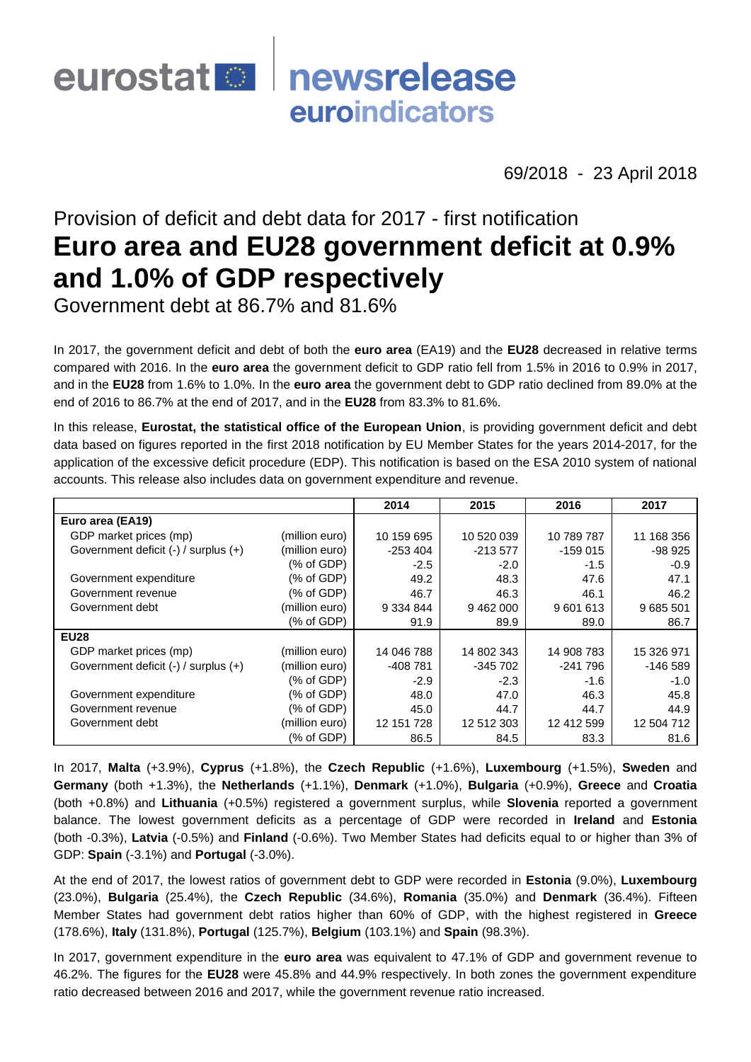# eurostat **De** newsrelease euroindicators

69/2018 - 23 April 2018

## Provision of deficit and debt data for 2017 - first notification **Euro area and EU28 government deficit at 0.9% and 1.0% of GDP respectively**

Government debt at 86.7% and 81.6%

In 2017, the government deficit and debt of both the **euro area** (EA19) and the **EU28** decreased in relative terms compared with 2016. In the **euro area** the government deficit to GDP ratio fell from 1.5% in 2016 to 0.9% in 2017, and in the **EU28** from 1.6% to 1.0%. In the **euro area** the government debt to GDP ratio declined from 89.0% at the end of 2016 to 86.7% at the end of 2017, and in the **EU28** from 83.3% to 81.6%.

In this release, **Eurostat, the statistical office of the European Union**, is providing government deficit and debt data based on figures reported in the first 2018 notification by EU Member States for the years 2014-2017, for the application of the excessive deficit procedure (EDP). This notification is based on the ESA 2010 system of national accounts. This release also includes data on government expenditure and revenue.

|                                      |                | 2014          | 2015       | 2016       | 2017       |
|--------------------------------------|----------------|---------------|------------|------------|------------|
| Euro area (EA19)                     |                |               |            |            |            |
| GDP market prices (mp)               | (million euro) | 10 159 695    | 10 520 039 | 10 789 787 | 11 168 356 |
| Government deficit (-) / surplus (+) | (million euro) | $-253404$     | $-213577$  | $-159015$  | -98 925    |
|                                      | (% of GDP)     | $-2.5$        | $-2.0$     | $-1.5$     | $-0.9$     |
| Government expenditure               | (% of GDP)     | 49.2          | 48.3       | 47.6       | 47.1       |
| Government revenue                   | (% of GDP)     | 46.7          | 46.3       | 46.1       | 46.2       |
| Government debt                      | (million euro) | 9 3 3 4 8 4 4 | 9 462 000  | 9601613    | 9 685 501  |
|                                      | (% of GDP)     | 91.9          | 89.9       | 89.0       | 86.7       |
| <b>EU28</b>                          |                |               |            |            |            |
| GDP market prices (mp)               | (million euro) | 14 046 788    | 14 802 343 | 14 908 783 | 15 326 971 |
| Government deficit (-) / surplus (+) | (million euro) | $-408781$     | $-345702$  | $-241796$  | $-146589$  |
|                                      | (% of GDP)     | $-2.9$        | $-2.3$     | -1.6       | $-1.0$     |
| Government expenditure               | % of GDP)      | 48.0          | 47.0       | 46.3       | 45.8       |
| Government revenue                   | (% of GDP)     | 45.0          | 44.7       | 44.7       | 44.9       |
| Government debt                      | (million euro) | 12 151 728    | 12 512 303 | 12 412 599 | 12 504 712 |
|                                      | (% of GDP)     | 86.5          | 84.5       | 83.3       | 81.6       |

In 2017, **Malta** (+3.9%), **Cyprus** (+1.8%), the **Czech Republic** (+1.6%), **Luxembourg** (+1.5%), **Sweden** and **Germany** (both +1.3%), the **Netherlands** (+1.1%), **Denmark** (+1.0%), **Bulgaria** (+0.9%), **Greece** and **Croatia** (both +0.8%) and **Lithuania** (+0.5%) registered a government surplus, while **Slovenia** reported a government balance. The lowest government deficits as a percentage of GDP were recorded in **Ireland** and **Estonia**  (both -0.3%), **Latvia** (-0.5%) and **Finland** (-0.6%). Two Member States had deficits equal to or higher than 3% of GDP: **Spain** (-3.1%) and **Portugal** (-3.0%).

At the end of 2017, the lowest ratios of government debt to GDP were recorded in **Estonia** (9.0%), **Luxembourg** (23.0%), **Bulgaria** (25.4%), the **Czech Republic** (34.6%), **Romania** (35.0%) and **Denmark** (36.4%). Fifteen Member States had government debt ratios higher than 60% of GDP, with the highest registered in **Greece** (178.6%), **Italy** (131.8%), **Portugal** (125.7%), **Belgium** (103.1%) and **Spain** (98.3%).

In 2017, government expenditure in the **euro area** was equivalent to 47.1% of GDP and government revenue to 46.2%. The figures for the **EU28** were 45.8% and 44.9% respectively. In both zones the government expenditure ratio decreased between 2016 and 2017, while the government revenue ratio increased.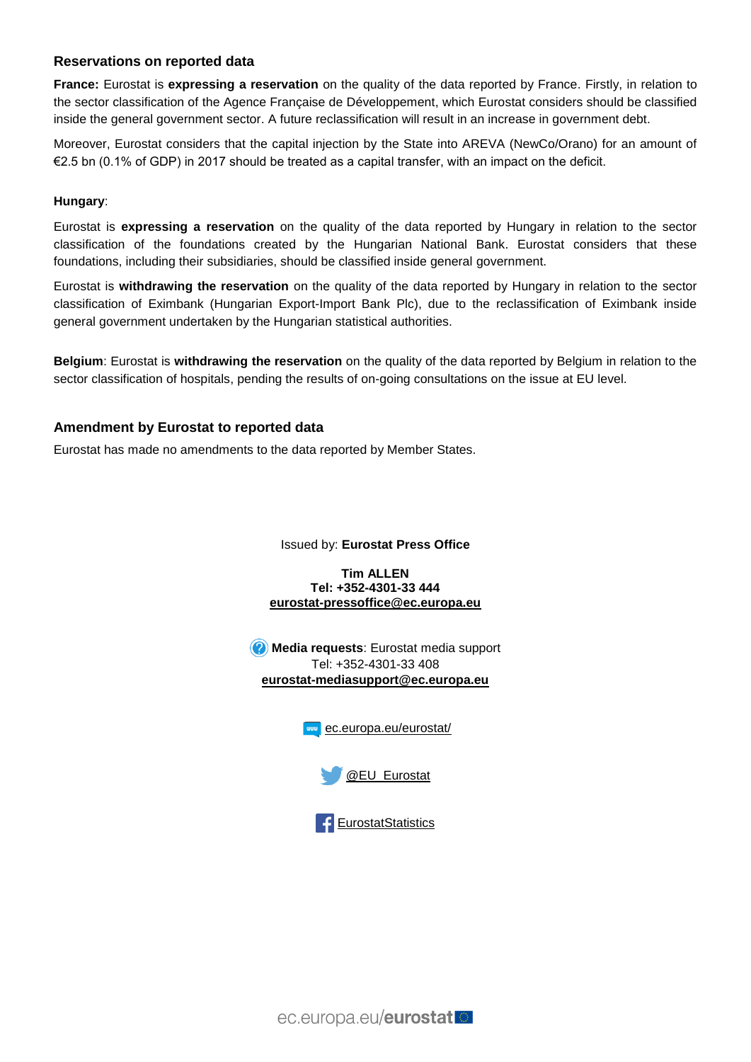#### **Reservations on reported data**

**France:** Eurostat is **expressing a reservation** on the quality of the data reported by France. Firstly, in relation to the sector classification of the Agence Française de Développement, which Eurostat considers should be classified inside the general government sector. A future reclassification will result in an increase in government debt.

Moreover, Eurostat considers that the capital injection by the State into AREVA (NewCo/Orano) for an amount of €2.5 bn (0.1% of GDP) in 2017 should be treated as a capital transfer, with an impact on the deficit.

#### **Hungary**:

Eurostat is **expressing a reservation** on the quality of the data reported by Hungary in relation to the sector classification of the foundations created by the Hungarian National Bank. Eurostat considers that these foundations, including their subsidiaries, should be classified inside general government.

Eurostat is **withdrawing the reservation** on the quality of the data reported by Hungary in relation to the sector classification of Eximbank (Hungarian Export-Import Bank Plc), due to the reclassification of Eximbank inside general government undertaken by the Hungarian statistical authorities.

**Belgium**: Eurostat is **withdrawing the reservation** on the quality of the data reported by Belgium in relation to the sector classification of hospitals, pending the results of on-going consultations on the issue at EU level.

#### **Amendment by Eurostat to reported data**

Eurostat has made no amendments to the data reported by Member States.

Issued by: **Eurostat Press Office**

**Tim ALLEN Tel: +352-4301-33 444 [eurostat-pressoffice@ec.europa.eu](mailto:eurostat-pressoffice@ec.europa.eu)**

**Media requests**: Eurostat media support Tel: +352-4301-33 408 **[eurostat-mediasupport@ec.europa.eu](mailto:eurostat-mediasupport@ec.europa.eu)**





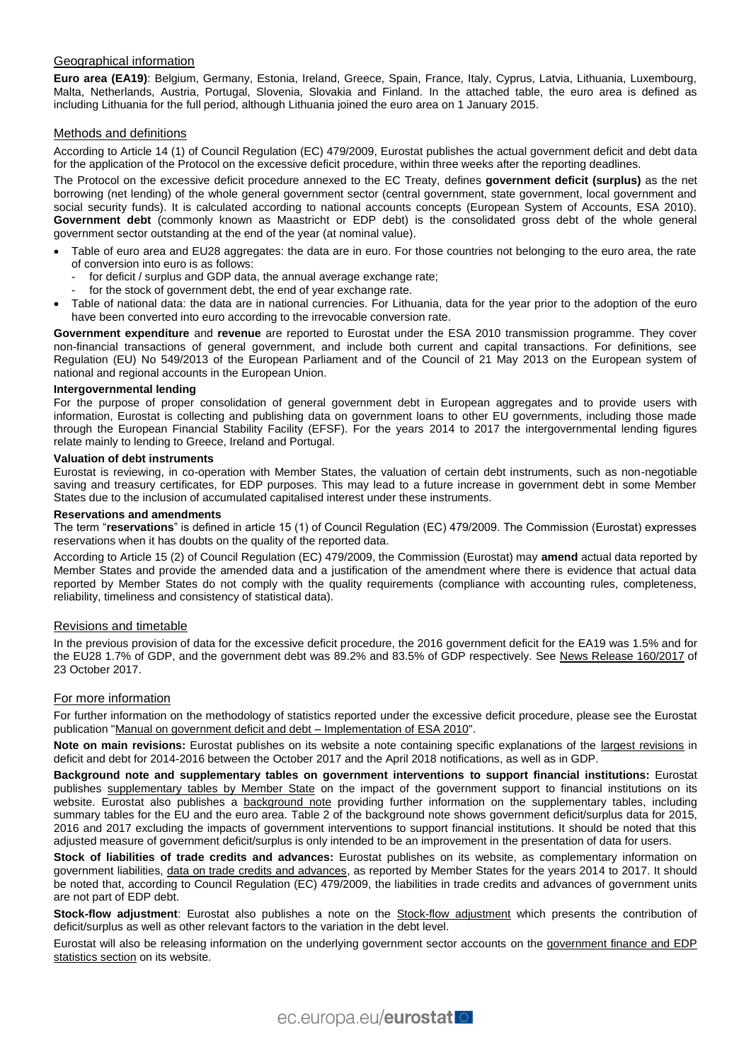#### Geographical information

**Euro area (EA19)**: Belgium, Germany, Estonia, Ireland, Greece, Spain, France, Italy, Cyprus, Latvia, Lithuania, Luxembourg, Malta, Netherlands, Austria, Portugal, Slovenia, Slovakia and Finland. In the attached table, the euro area is defined as including Lithuania for the full period, although Lithuania joined the euro area on 1 January 2015.

#### Methods and definitions

According to Article 14 (1) of Council Regulation (EC) 479/2009, Eurostat publishes the actual government deficit and debt data for the application of the Protocol on the excessive deficit procedure, within three weeks after the reporting deadlines.

The Protocol on the excessive deficit procedure annexed to the EC Treaty, defines **government deficit (surplus)** as the net borrowing (net lending) of the whole general government sector (central government, state government, local government and social security funds). It is calculated according to national accounts concepts (European System of Accounts, ESA 2010). **Government debt** (commonly known as Maastricht or EDP debt) is the consolidated gross debt of the whole general government sector outstanding at the end of the year (at nominal value).

- Table of euro area and EU28 aggregates: the data are in euro. For those countries not belonging to the euro area, the rate of conversion into euro is as follows:
	- for deficit / surplus and GDP data, the annual average exchange rate;
	- for the stock of government debt, the end of year exchange rate.
- Table of national data: the data are in national currencies. For Lithuania, data for the year prior to the adoption of the euro have been converted into euro according to the irrevocable conversion rate.

**Government expenditure** and **revenue** are reported to Eurostat under the ESA 2010 transmission programme. They cover non-financial transactions of general government, and include both current and capital transactions. For definitions, see Regulation (EU) No 549/2013 of the European [Parliament and of the Council of 21 May 2013 on the European system of](http://eur-lex.europa.eu/legal-content/EN/TXT/?qid=1405675686774&uri=CELEX:32013R0549)  [national and regional accounts in the European Union.](http://eur-lex.europa.eu/legal-content/EN/TXT/?qid=1405675686774&uri=CELEX:32013R0549)

#### **Intergovernmental lending**

For the purpose of proper consolidation of general government debt in European aggregates and to provide users with information, Eurostat is collecting and publishing data on government loans to other EU governments, including those made through the European Financial Stability Facility (EFSF). For the years 2014 to 2017 the intergovernmental lending figures relate mainly to lending to Greece, Ireland and Portugal.

#### **Valuation of debt instruments**

Eurostat is reviewing, in co-operation with Member States, the valuation of certain debt instruments, such as non-negotiable saving and treasury certificates, for EDP purposes. This may lead to a future increase in government debt in some Member States due to the inclusion of accumulated capitalised interest under these instruments.

#### **Reservations and amendments**

The term "**reservations**" is defined in article 15 (1) of Council Regulation (EC) 479/2009. The Commission (Eurostat) expresses reservations when it has doubts on the quality of the reported data.

According to Article 15 (2) of Council Regulation (EC) 479/2009, the Commission (Eurostat) may **amend** actual data reported by Member States and provide the amended data and a justification of the amendment where there is evidence that actual data reported by Member States do not comply with the quality requirements (compliance with accounting rules, completeness, reliability, timeliness and consistency of statistical data).

#### Revisions and timetable

In the previous provision of data for the excessive deficit procedure, the 2016 government deficit for the EA19 was 1.5% and for the EU28 1.7% of GDP, and the government debt was 89.2% and 83.5% of GDP respectively. See [News Release 160/2017](http://ec.europa.eu/eurostat/documents/2995521/8338481/2-23102017-AP-EN.pdf/d980082d-a002-4871-9d81-a4152e27e0c4) of 23 October 2017.

#### For more information

For further information on the methodology of statistics reported under the excessive deficit procedure, please see the Eurostat publication ["Manual on government deficit and debt –](http://ec.europa.eu/eurostat/web/products-manuals-and-guidelines/-/KS-GQ-16-001) Implementation of ESA 2010".

**Note on main revisions:** Eurostat publishes on its website a note containing specific explanations of the [largest revisions](http://ec.europa.eu/eurostat/documents/1015035/8441002/Note-on-main-revisions-APR2018.pdf/5007a8b4-5baf-4c66-8ddf-a126237a3150) in deficit and debt for 2014-2016 between the October 2017 and the April 2018 notifications, as well as in GDP.

**Background note and supplementary tables on government interventions to support financial institutions:** Eurostat publishes [supplementary tables by Member State](http://ec.europa.eu/eurostat/web/government-finance-statistics/excessive-deficit/supplemtary-tables-financial-crisis) on the impact of the government support to financial institutions on its website. Eurostat also publishes a [background note](http://ec.europa.eu/eurostat/documents/1015035/8441002/Background-note-on-gov-interventions-Apr-2018.pdf/54c5e531-688b-427b-80a1-46e471f3a54b) providing further information on the supplementary tables, including summary tables for the EU and the euro area. Table 2 of the background note shows government deficit/surplus data for 2015, 2016 and 2017 excluding the impacts of government interventions to support financial institutions. It should be noted that this adjusted measure of government deficit/surplus is only intended to be an improvement in the presentation of data for users.

**Stock of liabilities of trade credits and advances:** Eurostat publishes on its website, as complementary information on government liabilities, [data on trade credits and advances,](http://ec.europa.eu/eurostat/documents/1015035/8441002/Note-on-AF.81L-APR2018.pdf/96bfda03-9161-4326-89f9-b8165604de6d) as reported by Member States for the years 2014 to 2017. It should be noted that, according to Council Regulation (EC) 479/2009, the liabilities in trade credits and advances of government units are not part of EDP debt.

**Stock-flow adjustment**: Eurostat also publishes a note on the **Stock-flow adjustment** which presents the contribution of deficit/surplus as well as other relevant factors to the variation in the debt level.

Eurostat will also be releasing information on the underlying government sector accounts on the [government finance and EDP](http://ec.europa.eu/eurostat/web/government-finance-statistics)  [statistics section](http://ec.europa.eu/eurostat/web/government-finance-statistics) on its website.

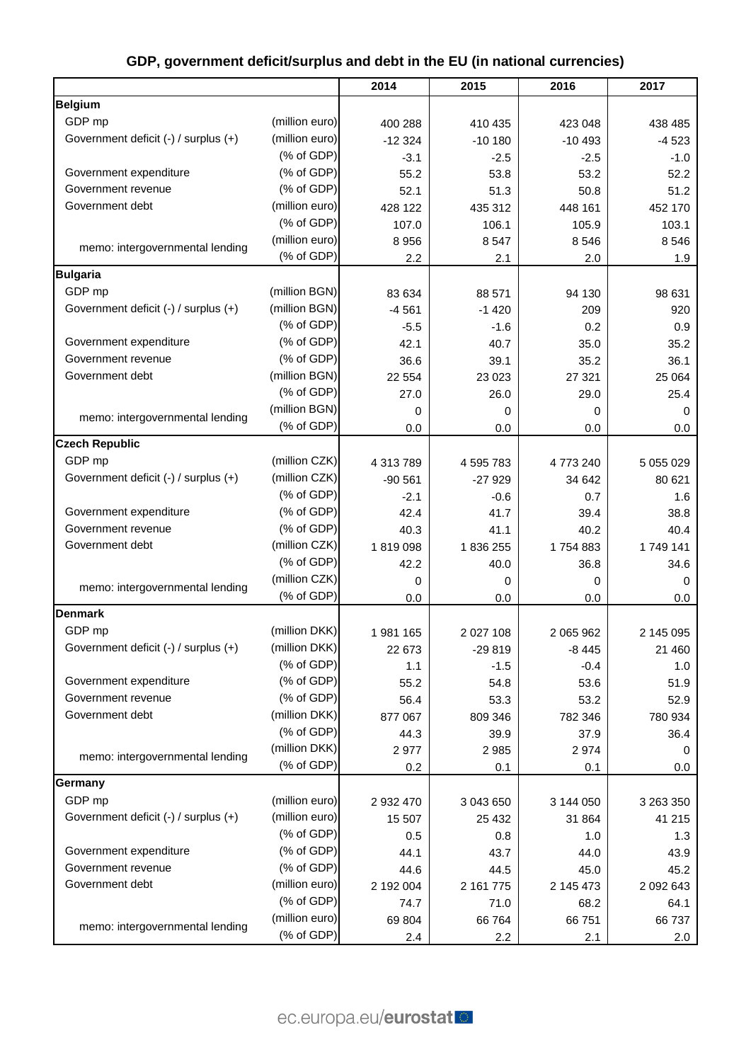|                                      |                | 2014      | 2015      | 2016      | 2017      |
|--------------------------------------|----------------|-----------|-----------|-----------|-----------|
| <b>Belgium</b>                       |                |           |           |           |           |
| GDP mp                               | (million euro) | 400 288   | 410 435   | 423 048   | 438 485   |
| Government deficit (-) / surplus (+) | (million euro) | $-12324$  | $-10180$  | $-10493$  | $-4523$   |
|                                      | (% of GDP)     | $-3.1$    | $-2.5$    | $-2.5$    | $-1.0$    |
| Government expenditure               | (% of GDP)     | 55.2      | 53.8      | 53.2      | 52.2      |
| Government revenue                   | (% of GDP)     | 52.1      | 51.3      | 50.8      | 51.2      |
| Government debt                      | (million euro) | 428 122   | 435 312   | 448 161   | 452 170   |
|                                      | (% of GDP)     | 107.0     | 106.1     | 105.9     | 103.1     |
|                                      | (million euro) | 8956      | 8 5 4 7   | 8546      | 8546      |
| memo: intergovernmental lending      | (% of GDP)     | 2.2       | 2.1       | 2.0       | 1.9       |
| <b>Bulgaria</b>                      |                |           |           |           |           |
| GDP mp                               | (million BGN)  | 83 634    | 88 571    | 94 130    | 98 631    |
| Government deficit (-) / surplus (+) | (million BGN)  | $-4561$   | $-1420$   | 209       | 920       |
|                                      | (% of GDP)     | $-5.5$    | $-1.6$    | 0.2       | 0.9       |
| Government expenditure               | (% of GDP)     | 42.1      | 40.7      | 35.0      | 35.2      |
| Government revenue                   | (% of GDP)     | 36.6      | 39.1      | 35.2      | 36.1      |
| Government debt                      | (million BGN)  | 22 5 54   | 23 023    | 27 321    | 25 064    |
|                                      | (% of GDP)     | 27.0      | 26.0      | 29.0      | 25.4      |
|                                      | (million BGN)  | 0         | 0         | 0         | 0         |
| memo: intergovernmental lending      | (% of GDP)     | 0.0       | 0.0       | 0.0       | 0.0       |
| <b>Czech Republic</b>                |                |           |           |           |           |
| GDP mp                               | (million CZK)  | 4 313 789 | 4 595 783 | 4773240   | 5 055 029 |
| Government deficit (-) / surplus (+) | (million CZK)  | $-90561$  | $-27929$  | 34 642    | 80 621    |
|                                      | (% of GDP)     | $-2.1$    | $-0.6$    | 0.7       | 1.6       |
| Government expenditure               | (% of GDP)     | 42.4      | 41.7      | 39.4      | 38.8      |
| Government revenue                   | (% of GDP)     | 40.3      | 41.1      | 40.2      | 40.4      |
| Government debt                      | (million CZK)  | 1819098   | 1836255   | 1754883   | 1749 141  |
|                                      | (% of GDP)     | 42.2      | 40.0      | 36.8      | 34.6      |
|                                      | (million CZK)  | 0         | 0         | 0         | 0         |
| memo: intergovernmental lending      | (% of GDP)     | 0.0       | 0.0       | 0.0       | 0.0       |
| <b>Denmark</b>                       |                |           |           |           |           |
| GDP mp                               | (million DKK)  | 1981 165  | 2 027 108 | 2 065 962 | 2 145 095 |
| Government deficit (-) / surplus (+) | (million DKK)  | 22 673    | $-29819$  | $-8445$   | 21 460    |
|                                      | (% of GDP)     | 1.1       | $-1.5$    | $-0.4$    | 1.0       |
| Government expenditure               | (% of GDP)     | 55.2      | 54.8      | 53.6      | 51.9      |
| Government revenue                   | (% of GDP)     | 56.4      | 53.3      | 53.2      | 52.9      |
| Government debt                      | (million DKK)  | 877 067   | 809 346   | 782 346   | 780 934   |
|                                      | (% of GDP)     | 44.3      | 39.9      | 37.9      | 36.4      |
|                                      | (million DKK)  | 2977      | 2 9 8 5   | 2974      | 0         |
| memo: intergovernmental lending      | (% of GDP)     | 0.2       | 0.1       | 0.1       | 0.0       |
| Germany                              |                |           |           |           |           |
| GDP mp                               | (million euro) | 2 932 470 | 3 043 650 | 3 144 050 | 3 263 350 |
| Government deficit (-) / surplus (+) | (million euro) | 15 507    | 25 4 32   | 31 864    | 41 215    |
|                                      | (% of GDP)     | 0.5       | 0.8       | 1.0       | 1.3       |
| Government expenditure               | (% of GDP)     | 44.1      | 43.7      | 44.0      | 43.9      |
| Government revenue                   | (% of GDP)     | 44.6      | 44.5      | 45.0      | 45.2      |
| Government debt                      | (million euro) | 2 192 004 | 2 161 775 | 2 145 473 | 2 092 643 |
|                                      | (% of GDP)     | 74.7      | 71.0      | 68.2      | 64.1      |
|                                      | (million euro) | 69 804    | 66 764    | 66 751    | 66737     |
| memo: intergovernmental lending      | (% of GDP)     | 2.4       | 2.2       | 2.1       | 2.0       |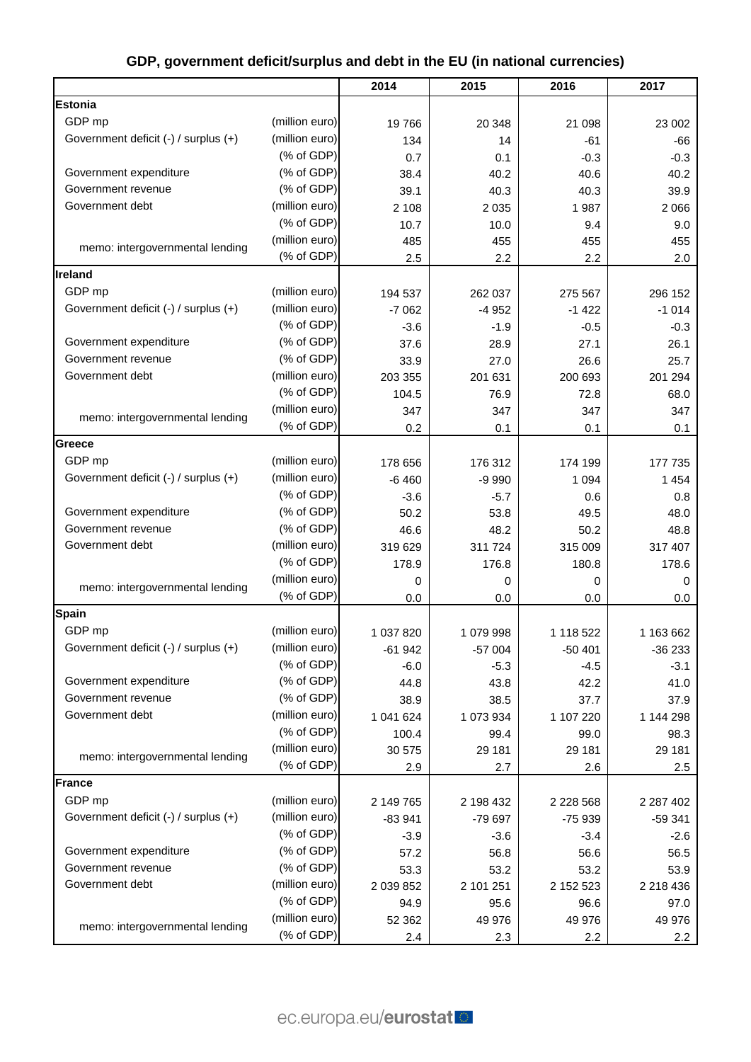|                                      |                | 2014      | 2015      | 2016          | 2017          |
|--------------------------------------|----------------|-----------|-----------|---------------|---------------|
| <b>Estonia</b>                       |                |           |           |               |               |
| GDP mp                               | (million euro) | 19766     | 20 348    | 21 098        | 23 002        |
| Government deficit (-) / surplus (+) | (million euro) | 134       | 14        | $-61$         | $-66$         |
|                                      | (% of GDP)     | 0.7       | 0.1       | $-0.3$        | $-0.3$        |
| Government expenditure               | (% of GDP)     | 38.4      | 40.2      | 40.6          | 40.2          |
| Government revenue                   | (% of GDP)     | 39.1      | 40.3      | 40.3          | 39.9          |
| Government debt                      | (million euro) | 2 1 0 8   | 2 0 3 5   | 1987          | 2 0 6 6       |
|                                      | (% of GDP)     | 10.7      | 10.0      | 9.4           | 9.0           |
|                                      | (million euro) | 485       | 455       | 455           | 455           |
| memo: intergovernmental lending      | (% of GDP)     | 2.5       | 2.2       | 2.2           | 2.0           |
| Ireland                              |                |           |           |               |               |
| GDP mp                               | (million euro) | 194 537   | 262 037   | 275 567       | 296 152       |
| Government deficit (-) / surplus (+) | (million euro) | $-7062$   | $-4952$   | $-1422$       | $-1014$       |
|                                      | (% of GDP)     | $-3.6$    | $-1.9$    | $-0.5$        | $-0.3$        |
| Government expenditure               | (% of GDP)     | 37.6      | 28.9      | 27.1          | 26.1          |
| Government revenue                   | (% of GDP)     | 33.9      | 27.0      | 26.6          | 25.7          |
| Government debt                      | (million euro) | 203 355   | 201 631   | 200 693       | 201 294       |
|                                      | (% of GDP)     | 104.5     | 76.9      | 72.8          | 68.0          |
|                                      | (million euro) | 347       | 347       | 347           | 347           |
| memo: intergovernmental lending      | (% of GDP)     | 0.2       | 0.1       | 0.1           | 0.1           |
| Greece                               |                |           |           |               |               |
| GDP mp                               | (million euro) | 178 656   | 176 312   | 174 199       | 177 735       |
| Government deficit (-) / surplus (+) | (million euro) | $-6460$   | $-9990$   | 1 0 9 4       | 1454          |
|                                      | (% of GDP)     | $-3.6$    | $-5.7$    | 0.6           | 0.8           |
| Government expenditure               | (% of GDP)     | 50.2      | 53.8      | 49.5          | 48.0          |
| Government revenue                   | (% of GDP)     | 46.6      | 48.2      | 50.2          | 48.8          |
| Government debt                      | (million euro) | 319 629   | 311 724   | 315 009       | 317 407       |
|                                      | (% of GDP)     | 178.9     | 176.8     | 180.8         | 178.6         |
|                                      | (million euro) | 0         | 0         | 0             | 0             |
| memo: intergovernmental lending      | (% of GDP)     | 0.0       | 0.0       | 0.0           | 0.0           |
| Spain                                |                |           |           |               |               |
| GDP mp                               | (million euro) | 1 037 820 | 1 079 998 | 1 118 522     | 1 163 662     |
| Government deficit (-) / surplus (+) | (million euro) | $-61942$  | $-57004$  | $-50401$      | $-36233$      |
|                                      | (% of GDP)     | $-6.0$    | $-5.3$    | $-4.5$        | $-3.1$        |
| Government expenditure               | (% of GDP)     | 44.8      | 43.8      | 42.2          | 41.0          |
| Government revenue                   | (% of GDP)     | 38.9      | 38.5      | 37.7          | 37.9          |
| Government debt                      | (million euro) | 1 041 624 | 1 073 934 | 1 107 220     | 1 144 298     |
|                                      | (% of GDP)     | 100.4     | 99.4      | 99.0          | 98.3          |
|                                      | (million euro) | 30 575    | 29 181    | 29 181        | 29 181        |
| memo: intergovernmental lending      | (% of GDP)     | 2.9       | 2.7       | 2.6           | 2.5           |
| <b>France</b>                        |                |           |           |               |               |
| GDP mp                               | (million euro) | 2 149 765 | 2 198 432 | 2 2 2 8 5 6 8 | 2 2 8 7 4 0 2 |
| Government deficit (-) / surplus (+) | (million euro) | $-83941$  | -79 697   | -75 939       | $-59341$      |
|                                      | (% of GDP)     | $-3.9$    | $-3.6$    | $-3.4$        | $-2.6$        |
| Government expenditure               | (% of GDP)     | 57.2      | 56.8      | 56.6          | 56.5          |
| Government revenue                   | (% of GDP)     | 53.3      | 53.2      | 53.2          | 53.9          |
| Government debt                      | (million euro) | 2 039 852 | 2 101 251 | 2 152 523     | 2 218 436     |
|                                      | (% of GDP)     | 94.9      | 95.6      | 96.6          | 97.0          |
|                                      | (million euro) | 52 362    | 49 976    | 49 976        | 49 976        |
| memo: intergovernmental lending      | (% of GDP)     | 2.4       | 2.3       | 2.2           | 2.2           |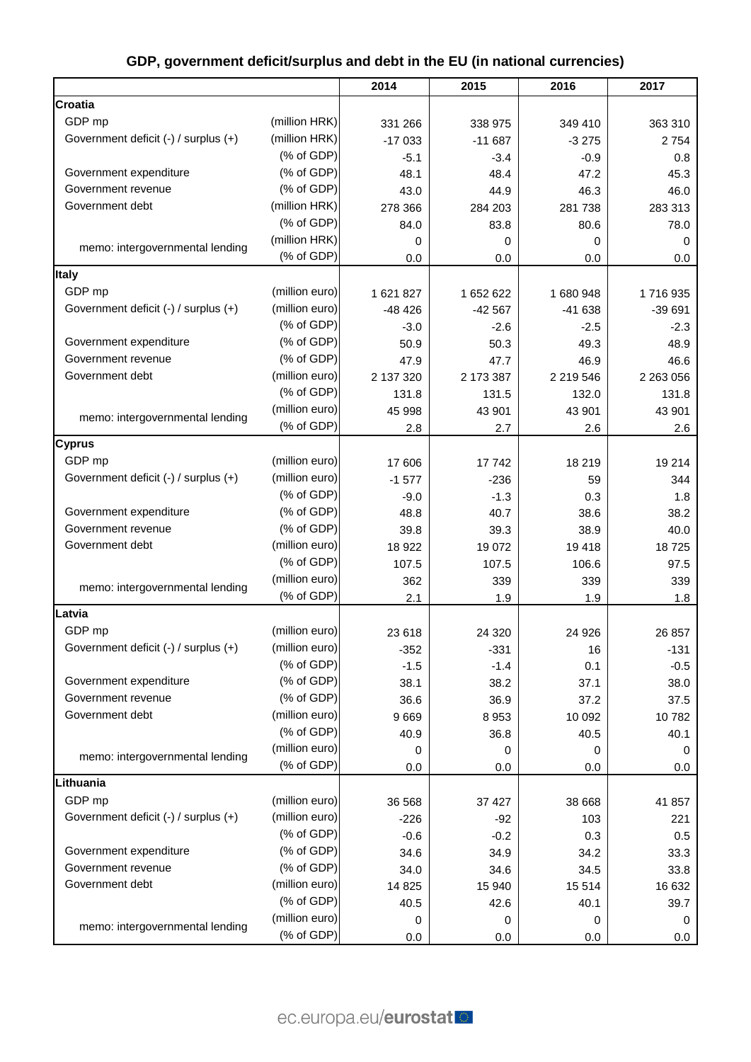|                                      |                | 2014      | 2015      | 2016      | 2017      |
|--------------------------------------|----------------|-----------|-----------|-----------|-----------|
| <b>Croatia</b>                       |                |           |           |           |           |
| GDP mp                               | (million HRK)  | 331 266   | 338 975   | 349 410   | 363 310   |
| Government deficit (-) / surplus (+) | (million HRK)  | $-17033$  | $-11687$  | $-3275$   | 2754      |
|                                      | (% of GDP)     | $-5.1$    | $-3.4$    | $-0.9$    | 0.8       |
| Government expenditure               | (% of GDP)     | 48.1      | 48.4      | 47.2      | 45.3      |
| Government revenue                   | (% of GDP)     | 43.0      | 44.9      | 46.3      | 46.0      |
| Government debt                      | (million HRK)  | 278 366   | 284 203   | 281 738   | 283 313   |
|                                      | (% of GDP)     | 84.0      | 83.8      | 80.6      | 78.0      |
|                                      | (million HRK)  | 0         | 0         | 0         | 0         |
| memo: intergovernmental lending      | (% of GDP)     | 0.0       | 0.0       | 0.0       | 0.0       |
| <b>Italy</b>                         |                |           |           |           |           |
| GDP mp                               | (million euro) | 1 621 827 | 1 652 622 | 1 680 948 | 1716935   |
| Government deficit (-) / surplus (+) | (million euro) | $-48426$  | $-42567$  | $-41638$  | $-39691$  |
|                                      | (% of GDP)     | $-3.0$    | $-2.6$    | $-2.5$    | $-2.3$    |
| Government expenditure               | (% of GDP)     | 50.9      | 50.3      | 49.3      | 48.9      |
| Government revenue                   | (% of GDP)     | 47.9      | 47.7      | 46.9      | 46.6      |
| Government debt                      | (million euro) | 2 137 320 | 2 173 387 | 2 219 546 | 2 263 056 |
|                                      | (% of GDP)     | 131.8     | 131.5     | 132.0     | 131.8     |
|                                      | (million euro) | 45 998    | 43 901    | 43 901    | 43 901    |
| memo: intergovernmental lending      | (% of GDP)     | 2.8       | 2.7       | 2.6       | 2.6       |
| <b>Cyprus</b>                        |                |           |           |           |           |
| GDP mp                               | (million euro) | 17 606    | 17 742    | 18 219    | 19 214    |
| Government deficit (-) / surplus (+) | (million euro) | $-1577$   | $-236$    | 59        | 344       |
|                                      | (% of GDP)     | $-9.0$    | $-1.3$    | 0.3       | 1.8       |
| Government expenditure               | (% of GDP)     | 48.8      | 40.7      | 38.6      | 38.2      |
| Government revenue                   | (% of GDP)     | 39.8      | 39.3      | 38.9      | 40.0      |
| Government debt                      | (million euro) | 18 9 22   | 19 072    | 19418     | 18725     |
|                                      | (% of GDP)     | 107.5     | 107.5     | 106.6     | 97.5      |
|                                      | (million euro) | 362       | 339       | 339       | 339       |
| memo: intergovernmental lending      | (% of GDP)     | 2.1       | 1.9       | 1.9       | 1.8       |
| Latvia                               |                |           |           |           |           |
| GDP mp                               | (million euro) | 23 618    | 24 3 20   | 24 9 26   | 26 857    |
| Government deficit (-) / surplus (+) | (million euro) | $-352$    | $-331$    | 16        | $-131$    |
|                                      | (% of GDP)     | $-1.5$    | $-1.4$    | 0.1       | $-0.5$    |
| Government expenditure               | (% of GDP)     | 38.1      | 38.2      | 37.1      | 38.0      |
| Government revenue                   | (% of GDP)     | 36.6      | 36.9      | 37.2      | 37.5      |
| Government debt                      | (million euro) | 9669      | 8 9 5 3   | 10 092    | 10782     |
|                                      | (% of GDP)     | 40.9      | 36.8      | 40.5      | 40.1      |
|                                      | (million euro) | 0         | 0         | 0         | 0         |
| memo: intergovernmental lending      | (% of GDP)     | 0.0       | 0.0       | 0.0       | 0.0       |
| Lithuania                            |                |           |           |           |           |
| GDP mp                               | (million euro) | 36 568    | 37 427    | 38 668    | 41 857    |
| Government deficit (-) / surplus (+) | (million euro) | $-226$    | $-92$     | 103       | 221       |
|                                      | (% of GDP)     | $-0.6$    | $-0.2$    | 0.3       | 0.5       |
| Government expenditure               | (% of GDP)     | 34.6      | 34.9      | 34.2      | 33.3      |
| Government revenue                   | (% of GDP)     | 34.0      | 34.6      | 34.5      | 33.8      |
| Government debt                      | (million euro) | 14 8 25   | 15 940    | 15 5 14   | 16 632    |
|                                      | (% of GDP)     | 40.5      | 42.6      | 40.1      | 39.7      |
| memo: intergovernmental lending      | (million euro) | 0         | 0         | 0         | 0         |
|                                      | (% of GDP)     | 0.0       | 0.0       | 0.0       | $0.0\,$   |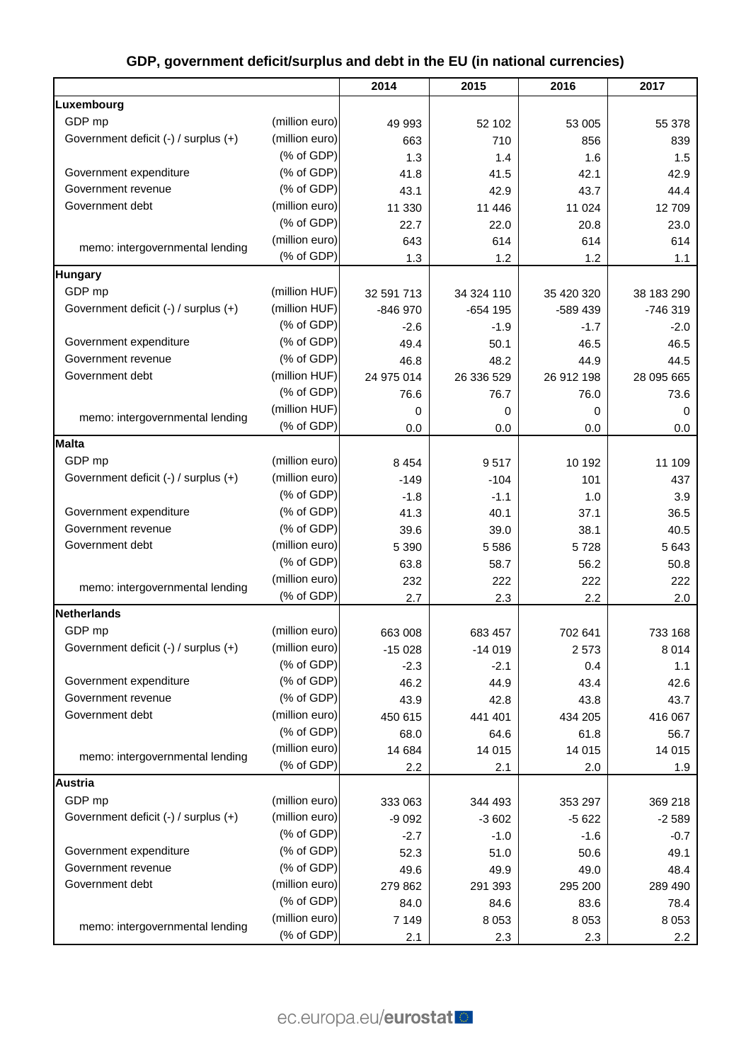|                                      |                | 2014       | 2015       | 2016       | 2017       |
|--------------------------------------|----------------|------------|------------|------------|------------|
| Luxembourg                           |                |            |            |            |            |
| GDP mp                               | (million euro) | 49 993     | 52 102     | 53 005     | 55 378     |
| Government deficit (-) / surplus (+) | (million euro) | 663        | 710        | 856        | 839        |
|                                      | (% of GDP)     | 1.3        | 1.4        | 1.6        | 1.5        |
| Government expenditure               | (% of GDP)     | 41.8       | 41.5       | 42.1       | 42.9       |
| Government revenue                   | (% of GDP)     | 43.1       | 42.9       | 43.7       | 44.4       |
| Government debt                      | (million euro) | 11 330     | 11 446     | 11 0 24    | 12709      |
|                                      | (% of GDP)     | 22.7       | 22.0       | 20.8       | 23.0       |
| memo: intergovernmental lending      | (million euro) | 643        | 614        | 614        | 614        |
|                                      | (% of GDP)     | 1.3        | 1.2        | 1.2        | 1.1        |
| <b>Hungary</b>                       |                |            |            |            |            |
| GDP mp                               | (million HUF)  | 32 591 713 | 34 324 110 | 35 420 320 | 38 183 290 |
| Government deficit (-) / surplus (+) | (million HUF)  | $-846970$  | $-654$ 195 | -589 439   | -746 319   |
|                                      | (% of GDP)     | $-2.6$     | $-1.9$     | $-1.7$     | $-2.0$     |
| Government expenditure               | (% of GDP)     | 49.4       | 50.1       | 46.5       | 46.5       |
| Government revenue                   | (% of GDP)     | 46.8       | 48.2       | 44.9       | 44.5       |
| Government debt                      | (million HUF)  | 24 975 014 | 26 336 529 | 26 912 198 | 28 095 665 |
|                                      | (% of GDP)     | 76.6       | 76.7       | 76.0       | 73.6       |
| memo: intergovernmental lending      | (million HUF)  | 0          | 0          | 0          | 0          |
|                                      | (% of GDP)     | 0.0        | 0.0        | 0.0        | 0.0        |
| <b>Malta</b>                         |                |            |            |            |            |
| GDP mp                               | (million euro) | 8 4 5 4    | 9517       | 10 192     | 11 109     |
| Government deficit (-) / surplus (+) | (million euro) | $-149$     | $-104$     | 101        | 437        |
|                                      | (% of GDP)     | $-1.8$     | $-1.1$     | 1.0        | 3.9        |
| Government expenditure               | (% of GDP)     | 41.3       | 40.1       | 37.1       | 36.5       |
| Government revenue                   | (% of GDP)     | 39.6       | 39.0       | 38.1       | 40.5       |
| Government debt                      | (million euro) | 5 3 9 0    | 5 5 8 6    | 5728       | 5 6 4 3    |
|                                      | (% of GDP)     | 63.8       | 58.7       | 56.2       | 50.8       |
| memo: intergovernmental lending      | (million euro) | 232        | 222        | 222        | 222        |
|                                      | (% of GDP)     | 2.7        | 2.3        | 2.2        | 2.0        |
| <b>Netherlands</b>                   |                |            |            |            |            |
| GDP mp                               | (million euro) | 663 008    | 683 457    | 702 641    | 733 168    |
| Government deficit (-) / surplus (+) | (million euro) | $-15028$   | $-14019$   | 2573       | 8014       |
|                                      | (% of GDP)     | $-2.3$     | $-2.1$     | 0.4        | 1.1        |
| Government expenditure               | (% of GDP)     | 46.2       | 44.9       | 43.4       | 42.6       |
| Government revenue                   | (% of GDP)     | 43.9       | 42.8       | 43.8       | 43.7       |
| Government debt                      | (million euro) | 450 615    | 441 401    | 434 205    | 416 067    |
|                                      | (% of GDP)     | 68.0       | 64.6       | 61.8       | 56.7       |
| memo: intergovernmental lending      | (million euro) | 14 684     | 14 015     | 14 015     | 14 015     |
|                                      | (% of GDP)     | 2.2        | 2.1        | 2.0        | 1.9        |
| <b>Austria</b>                       |                |            |            |            |            |
| GDP mp                               | (million euro) | 333 063    | 344 493    | 353 297    | 369 218    |
| Government deficit (-) / surplus (+) | (million euro) | $-9092$    | $-3602$    | $-5622$    | $-2589$    |
|                                      | (% of GDP)     | $-2.7$     | $-1.0$     | $-1.6$     | $-0.7$     |
| Government expenditure               | (% of GDP)     | 52.3       | 51.0       | 50.6       | 49.1       |
| Government revenue                   | (% of GDP)     | 49.6       | 49.9       | 49.0       | 48.4       |
| Government debt                      | (million euro) | 279 862    | 291 393    | 295 200    | 289 490    |
|                                      | (% of GDP)     | 84.0       | 84.6       | 83.6       | 78.4       |
| memo: intergovernmental lending      | (million euro) | 7 1 4 9    | 8 0 5 3    | 8 0 5 3    | 8 0 5 3    |
|                                      | (% of GDP)     | 2.1        | 2.3        | 2.3        | 2.2        |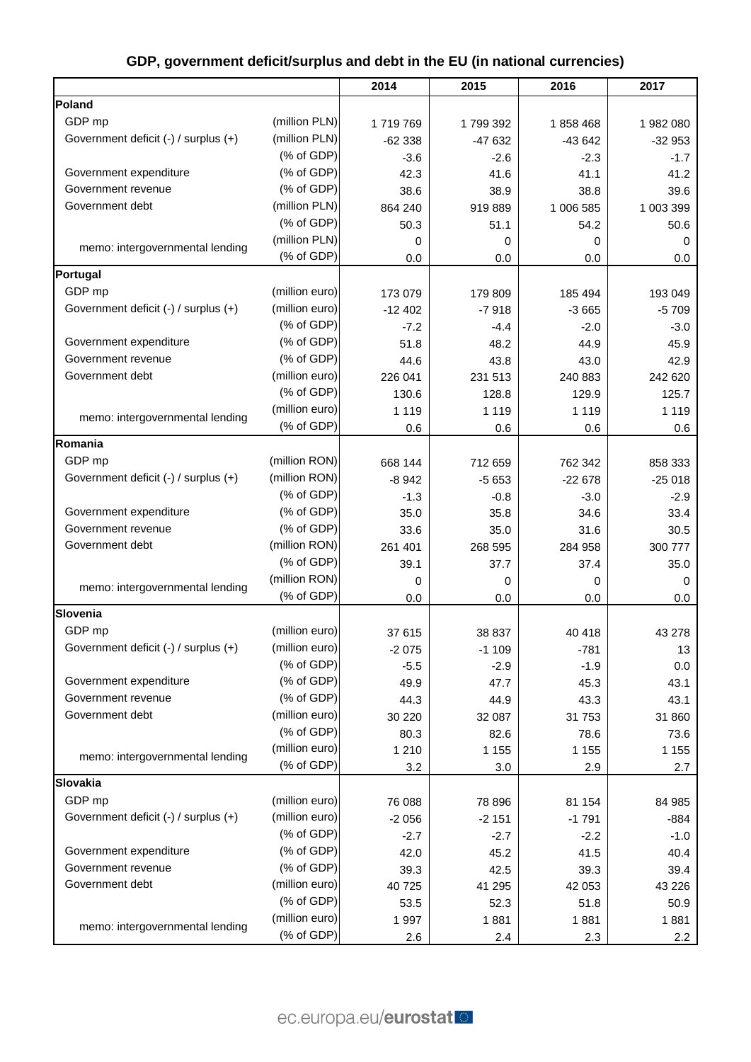|                                      |                | 2014        | 2015     | 2016      | 2017        |
|--------------------------------------|----------------|-------------|----------|-----------|-------------|
| Poland                               |                |             |          |           |             |
| GDP mp                               | (million PLN)  | 1719769     | 1799392  | 1858468   | 1982080     |
| Government deficit (-) / surplus (+) | (million PLN)  | $-62338$    | $-47632$ | $-43642$  | $-32953$    |
|                                      | (% of GDP)     | $-3.6$      | $-2.6$   | $-2.3$    | $-1.7$      |
| Government expenditure               | (% of GDP)     | 42.3        | 41.6     | 41.1      | 41.2        |
| Government revenue                   | (% of GDP)     | 38.6        | 38.9     | 38.8      | 39.6        |
| Government debt                      | (million PLN)  | 864 240     | 919 889  | 1 006 585 | 1 003 399   |
|                                      | (% of GDP)     | 50.3        | 51.1     | 54.2      | 50.6        |
|                                      | (million PLN)  | $\mathbf 0$ | 0        | 0         | $\mathbf 0$ |
| memo: intergovernmental lending      | (% of GDP)     | 0.0         | 0.0      | 0.0       | 0.0         |
| Portugal                             |                |             |          |           |             |
| GDP mp                               | (million euro) | 173 079     | 179 809  | 185 494   | 193 049     |
| Government deficit (-) / surplus (+) | (million euro) | $-12402$    | $-7918$  | $-3665$   | $-5709$     |
|                                      | (% of GDP)     | $-7.2$      | $-4.4$   | $-2.0$    | $-3.0$      |
| Government expenditure               | (% of GDP)     | 51.8        | 48.2     | 44.9      | 45.9        |
| Government revenue                   | (% of GDP)     | 44.6        | 43.8     | 43.0      | 42.9        |
| Government debt                      | (million euro) | 226 041     | 231 513  | 240 883   | 242 620     |
|                                      | (% of GDP)     | 130.6       | 128.8    | 129.9     | 125.7       |
|                                      | (million euro) | 1 1 1 9     | 1 1 1 9  | 1 1 1 9   | 1 1 1 9     |
| memo: intergovernmental lending      | (% of GDP)     | 0.6         | 0.6      | 0.6       | 0.6         |
| Romania                              |                |             |          |           |             |
| GDP mp                               | (million RON)  | 668 144     | 712 659  | 762 342   | 858 333     |
| Government deficit (-) / surplus (+) | (million RON)  | $-8942$     | $-5653$  | $-22678$  | $-25018$    |
|                                      | (% of GDP)     | $-1.3$      | $-0.8$   | $-3.0$    | $-2.9$      |
| Government expenditure               | (% of GDP)     | 35.0        | 35.8     | 34.6      | 33.4        |
| Government revenue                   | (% of GDP)     | 33.6        | 35.0     | 31.6      | 30.5        |
| Government debt                      | (million RON)  | 261 401     | 268 595  | 284 958   | 300 777     |
|                                      | (% of GDP)     | 39.1        | 37.7     | 37.4      | 35.0        |
|                                      | (million RON)  | 0           | 0        | 0         | 0           |
| memo: intergovernmental lending      | (% of GDP)     | 0.0         | 0.0      | 0.0       | 0.0         |
| Slovenia                             |                |             |          |           |             |
| GDP mp                               | (million euro) | 37 615      | 38 837   | 40 418    | 43 278      |
| Government deficit (-) / surplus (+) | (million euro) | $-2075$     | $-1109$  | $-781$    | 13          |
|                                      | (% of GDP)     | $-5.5$      | $-2.9$   | $-1.9$    | 0.0         |
| Government expenditure               | (% of GDP)     | 49.9        | 47.7     | 45.3      | 43.1        |
| Government revenue                   | (% of GDP)     | 44.3        | 44.9     | 43.3      | 43.1        |
| Government debt                      | (million euro) | 30 220      | 32 087   | 31 753    | 31 860      |
|                                      | (% of GDP)     | 80.3        | 82.6     | 78.6      | 73.6        |
|                                      | (million euro) | 1 2 1 0     | 1 1 5 5  | 1 1 5 5   | 1 1 5 5     |
| memo: intergovernmental lending      | (% of GDP)     | 3.2         | 3.0      | 2.9       | 2.7         |
| Slovakia                             |                |             |          |           |             |
| GDP mp                               | (million euro) | 76 088      | 78 896   | 81 154    | 84 985      |
| Government deficit (-) / surplus (+) | (million euro) | $-2056$     | $-2151$  | $-1791$   | $-884$      |
|                                      | (% of GDP)     | $-2.7$      | $-2.7$   | $-2.2$    | $-1.0$      |
| Government expenditure               | (% of GDP)     | 42.0        | 45.2     | 41.5      | 40.4        |
| Government revenue                   | (% of GDP)     | 39.3        | 42.5     | 39.3      | 39.4        |
| Government debt                      | (million euro) | 40725       | 41 295   | 42 053    | 43 2 26     |
|                                      | (% of GDP)     | 53.5        | 52.3     | 51.8      | 50.9        |
|                                      | (million euro) | 1997        | 1881     | 1881      | 1881        |
| memo: intergovernmental lending      | (% of GDP)     | 2.6         | 2.4      | 2.3       | 2.2         |